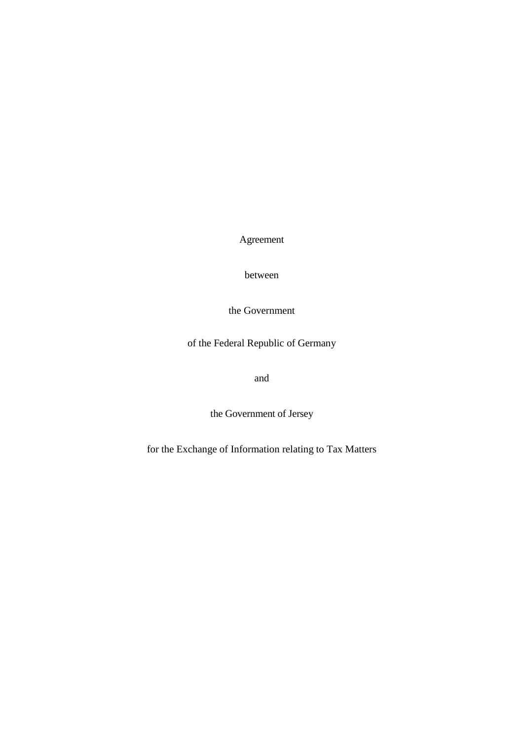Agreement

between

the Government

of the Federal Republic of Germany

and

the Government of Jersey

for the Exchange of Information relating to Tax Matters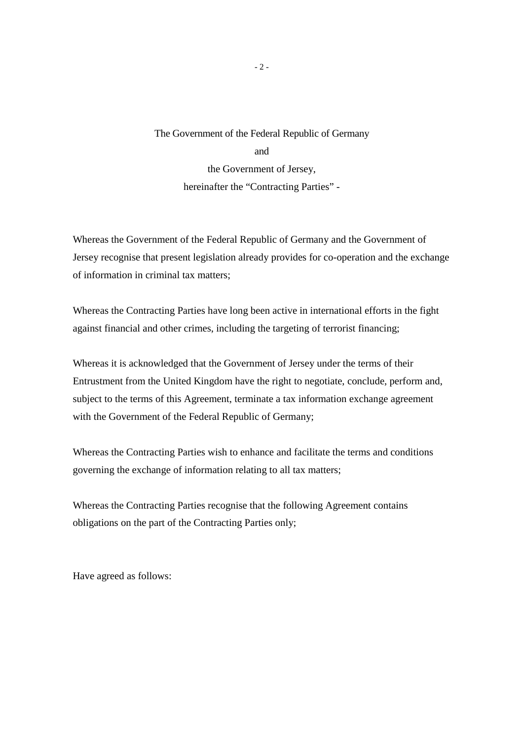The Government of the Federal Republic of Germany and the Government of Jersey, hereinafter the "Contracting Parties" -

Whereas the Government of the Federal Republic of Germany and the Government of Jersey recognise that present legislation already provides for co-operation and the exchange of information in criminal tax matters;

Whereas the Contracting Parties have long been active in international efforts in the fight against financial and other crimes, including the targeting of terrorist financing;

Whereas it is acknowledged that the Government of Jersey under the terms of their Entrustment from the United Kingdom have the right to negotiate, conclude, perform and, subject to the terms of this Agreement, terminate a tax information exchange agreement with the Government of the Federal Republic of Germany;

Whereas the Contracting Parties wish to enhance and facilitate the terms and conditions governing the exchange of information relating to all tax matters;

Whereas the Contracting Parties recognise that the following Agreement contains obligations on the part of the Contracting Parties only;

Have agreed as follows: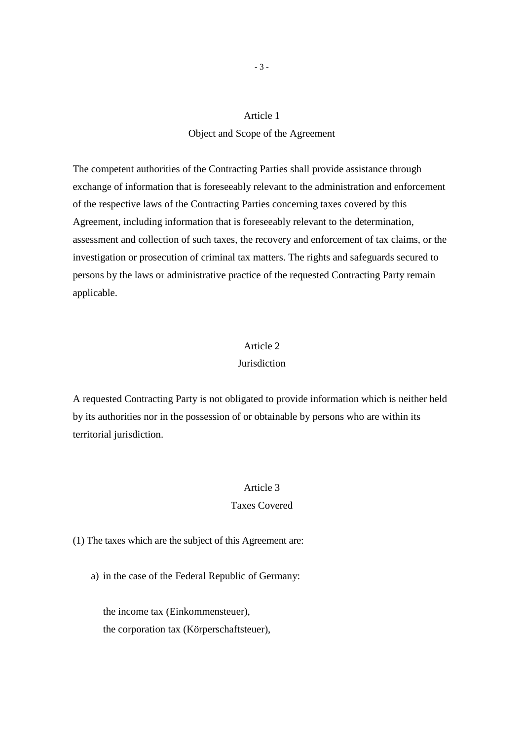# Object and Scope of the Agreement

The competent authorities of the Contracting Parties shall provide assistance through exchange of information that is foreseeably relevant to the administration and enforcement of the respective laws of the Contracting Parties concerning taxes covered by this Agreement, including information that is foreseeably relevant to the determination, assessment and collection of such taxes, the recovery and enforcement of tax claims, or the investigation or prosecution of criminal tax matters. The rights and safeguards secured to persons by the laws or administrative practice of the requested Contracting Party remain applicable.

#### Article 2

# **Jurisdiction**

A requested Contracting Party is not obligated to provide information which is neither held by its authorities nor in the possession of or obtainable by persons who are within its territorial jurisdiction.

# Article 3

# Taxes Covered

(1) The taxes which are the subject of this Agreement are:

a) in the case of the Federal Republic of Germany:

 the income tax (Einkommensteuer), the corporation tax (Körperschaftsteuer),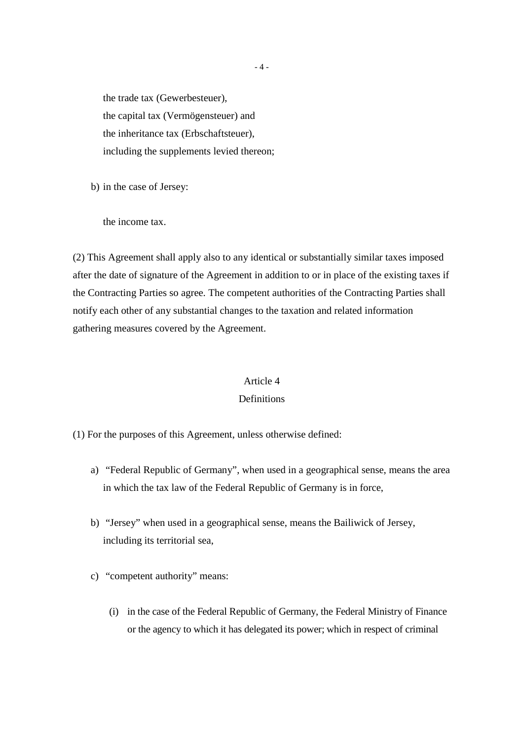the trade tax (Gewerbesteuer), the capital tax (Vermögensteuer) and the inheritance tax (Erbschaftsteuer), including the supplements levied thereon;

b) in the case of Jersey:

the income tax.

(2) This Agreement shall apply also to any identical or substantially similar taxes imposed after the date of signature of the Agreement in addition to or in place of the existing taxes if the Contracting Parties so agree. The competent authorities of the Contracting Parties shall notify each other of any substantial changes to the taxation and related information gathering measures covered by the Agreement.

# Article 4

# **Definitions**

(1) For the purposes of this Agreement, unless otherwise defined:

- a) "Federal Republic of Germany", when used in a geographical sense, means the area in which the tax law of the Federal Republic of Germany is in force,
- b) "Jersey" when used in a geographical sense, means the Bailiwick of Jersey, including its territorial sea,
- c) "competent authority" means:
	- (i) in the case of the Federal Republic of Germany, the Federal Ministry of Finance or the agency to which it has delegated its power; which in respect of criminal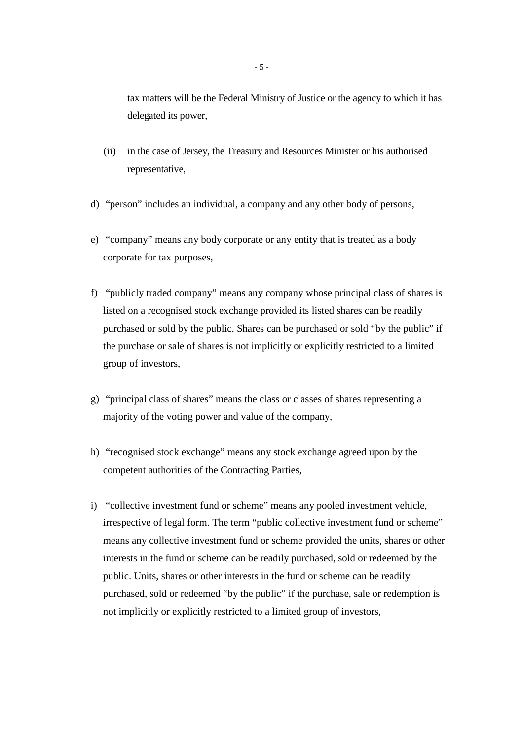tax matters will be the Federal Ministry of Justice or the agency to which it has delegated its power,

- (ii) in the case of Jersey, the Treasury and Resources Minister or his authorised representative,
- d) "person" includes an individual, a company and any other body of persons,
- e) "company" means any body corporate or any entity that is treated as a body corporate for tax purposes,
- f) "publicly traded company" means any company whose principal class of shares is listed on a recognised stock exchange provided its listed shares can be readily purchased or sold by the public. Shares can be purchased or sold "by the public" if the purchase or sale of shares is not implicitly or explicitly restricted to a limited group of investors,
- g) "principal class of shares" means the class or classes of shares representing a majority of the voting power and value of the company,
- h) "recognised stock exchange" means any stock exchange agreed upon by the competent authorities of the Contracting Parties,
- i) "collective investment fund or scheme" means any pooled investment vehicle, irrespective of legal form. The term "public collective investment fund or scheme" means any collective investment fund or scheme provided the units, shares or other interests in the fund or scheme can be readily purchased, sold or redeemed by the public. Units, shares or other interests in the fund or scheme can be readily purchased, sold or redeemed "by the public" if the purchase, sale or redemption is not implicitly or explicitly restricted to a limited group of investors,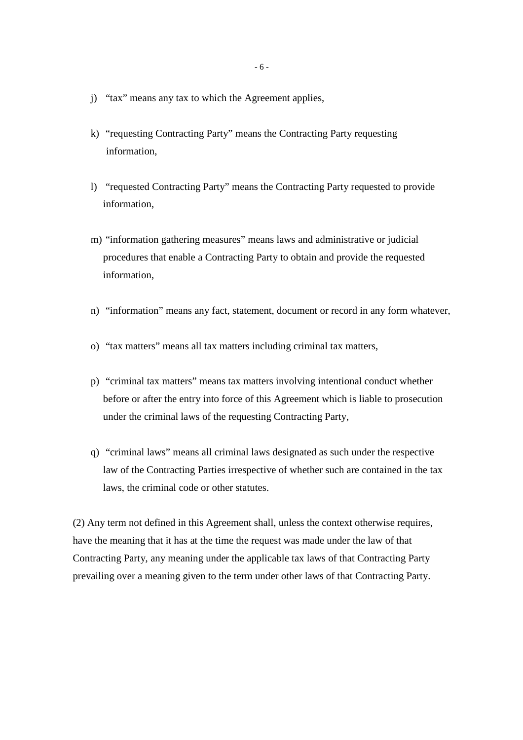- j) "tax" means any tax to which the Agreement applies,
- k) "requesting Contracting Party" means the Contracting Party requesting information,
- l) "requested Contracting Party" means the Contracting Party requested to provide information,
- m) "information gathering measures" means laws and administrative or judicial procedures that enable a Contracting Party to obtain and provide the requested information,
- n) "information" means any fact, statement, document or record in any form whatever,
- o) "tax matters" means all tax matters including criminal tax matters,
- p) "criminal tax matters" means tax matters involving intentional conduct whether before or after the entry into force of this Agreement which is liable to prosecution under the criminal laws of the requesting Contracting Party,
- q) "criminal laws" means all criminal laws designated as such under the respective law of the Contracting Parties irrespective of whether such are contained in the tax laws, the criminal code or other statutes.

(2) Any term not defined in this Agreement shall, unless the context otherwise requires, have the meaning that it has at the time the request was made under the law of that Contracting Party, any meaning under the applicable tax laws of that Contracting Party prevailing over a meaning given to the term under other laws of that Contracting Party.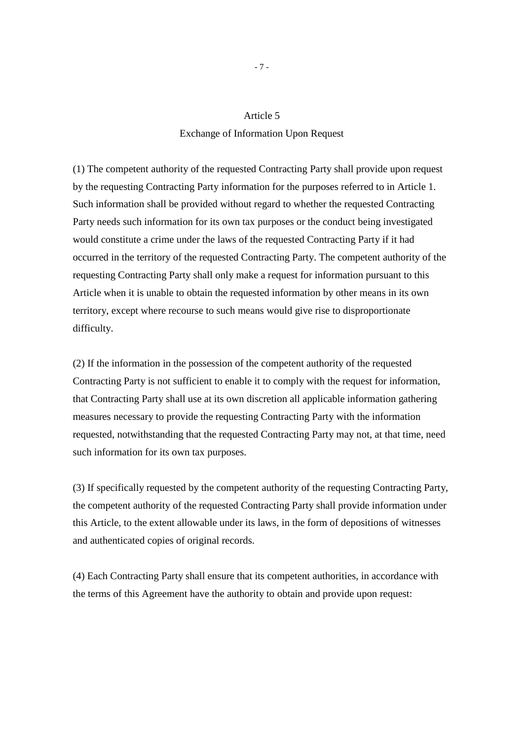# Exchange of Information Upon Request

(1) The competent authority of the requested Contracting Party shall provide upon request by the requesting Contracting Party information for the purposes referred to in Article 1. Such information shall be provided without regard to whether the requested Contracting Party needs such information for its own tax purposes or the conduct being investigated would constitute a crime under the laws of the requested Contracting Party if it had occurred in the territory of the requested Contracting Party. The competent authority of the requesting Contracting Party shall only make a request for information pursuant to this Article when it is unable to obtain the requested information by other means in its own territory, except where recourse to such means would give rise to disproportionate difficulty.

(2) If the information in the possession of the competent authority of the requested Contracting Party is not sufficient to enable it to comply with the request for information, that Contracting Party shall use at its own discretion all applicable information gathering measures necessary to provide the requesting Contracting Party with the information requested, notwithstanding that the requested Contracting Party may not, at that time, need such information for its own tax purposes.

(3) If specifically requested by the competent authority of the requesting Contracting Party, the competent authority of the requested Contracting Party shall provide information under this Article, to the extent allowable under its laws, in the form of depositions of witnesses and authenticated copies of original records.

(4) Each Contracting Party shall ensure that its competent authorities, in accordance with the terms of this Agreement have the authority to obtain and provide upon request:

- 7 -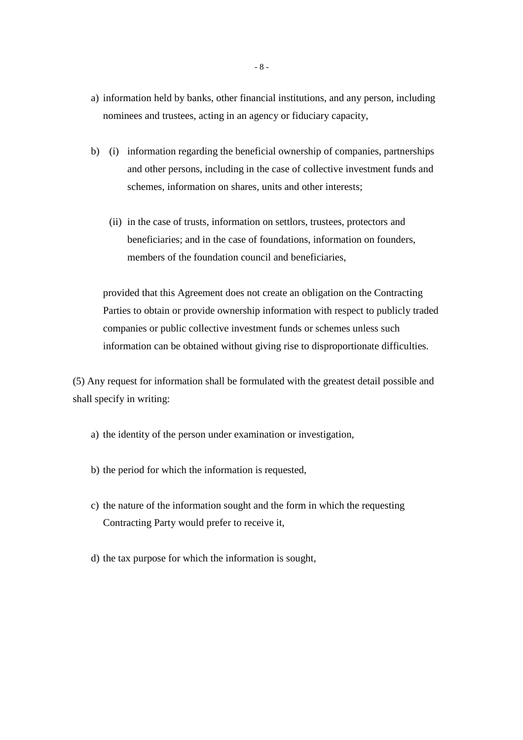- a) information held by banks, other financial institutions, and any person, including nominees and trustees, acting in an agency or fiduciary capacity,
- b) (i) information regarding the beneficial ownership of companies, partnerships and other persons, including in the case of collective investment funds and schemes, information on shares, units and other interests;
	- (ii) in the case of trusts, information on settlors, trustees, protectors and beneficiaries; and in the case of foundations, information on founders, members of the foundation council and beneficiaries,

 provided that this Agreement does not create an obligation on the Contracting Parties to obtain or provide ownership information with respect to publicly traded companies or public collective investment funds or schemes unless such information can be obtained without giving rise to disproportionate difficulties.

(5) Any request for information shall be formulated with the greatest detail possible and shall specify in writing:

- a) the identity of the person under examination or investigation,
- b) the period for which the information is requested,
- c) the nature of the information sought and the form in which the requesting Contracting Party would prefer to receive it,
- d) the tax purpose for which the information is sought,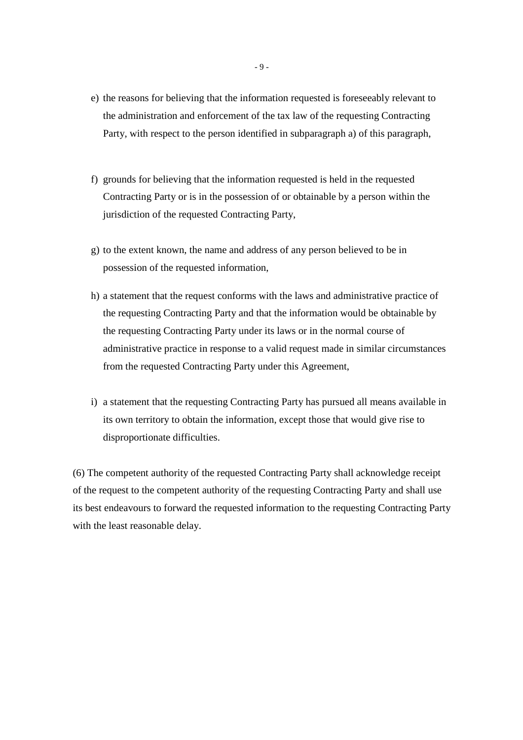- e) the reasons for believing that the information requested is foreseeably relevant to the administration and enforcement of the tax law of the requesting Contracting Party, with respect to the person identified in subparagraph a) of this paragraph,
- f) grounds for believing that the information requested is held in the requested Contracting Party or is in the possession of or obtainable by a person within the jurisdiction of the requested Contracting Party,
- g) to the extent known, the name and address of any person believed to be in possession of the requested information,
- h) a statement that the request conforms with the laws and administrative practice of the requesting Contracting Party and that the information would be obtainable by the requesting Contracting Party under its laws or in the normal course of administrative practice in response to a valid request made in similar circumstances from the requested Contracting Party under this Agreement,
- i) a statement that the requesting Contracting Party has pursued all means available in its own territory to obtain the information, except those that would give rise to disproportionate difficulties.

(6) The competent authority of the requested Contracting Party shall acknowledge receipt of the request to the competent authority of the requesting Contracting Party and shall use its best endeavours to forward the requested information to the requesting Contracting Party with the least reasonable delay.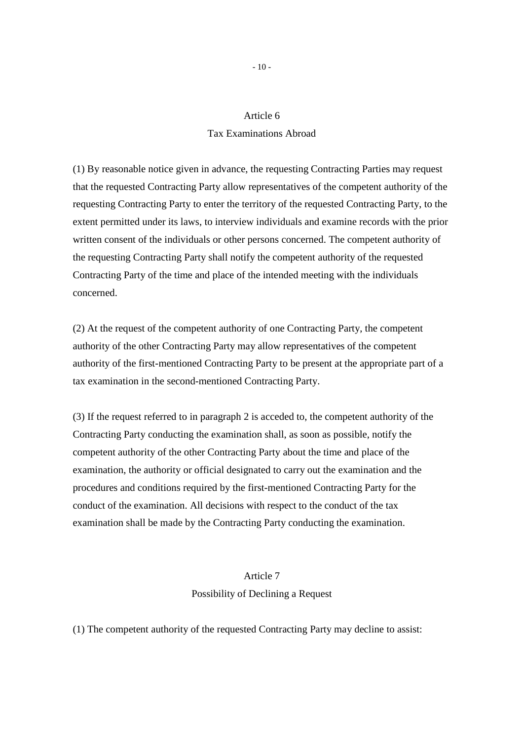#### Tax Examinations Abroad

(1) By reasonable notice given in advance, the requesting Contracting Parties may request that the requested Contracting Party allow representatives of the competent authority of the requesting Contracting Party to enter the territory of the requested Contracting Party, to the extent permitted under its laws, to interview individuals and examine records with the prior written consent of the individuals or other persons concerned. The competent authority of the requesting Contracting Party shall notify the competent authority of the requested Contracting Party of the time and place of the intended meeting with the individuals concerned.

(2) At the request of the competent authority of one Contracting Party, the competent authority of the other Contracting Party may allow representatives of the competent authority of the first-mentioned Contracting Party to be present at the appropriate part of a tax examination in the second-mentioned Contracting Party.

(3) If the request referred to in paragraph 2 is acceded to, the competent authority of the Contracting Party conducting the examination shall, as soon as possible, notify the competent authority of the other Contracting Party about the time and place of the examination, the authority or official designated to carry out the examination and the procedures and conditions required by the first-mentioned Contracting Party for the conduct of the examination. All decisions with respect to the conduct of the tax examination shall be made by the Contracting Party conducting the examination.

# Article 7 Possibility of Declining a Request

(1) The competent authority of the requested Contracting Party may decline to assist: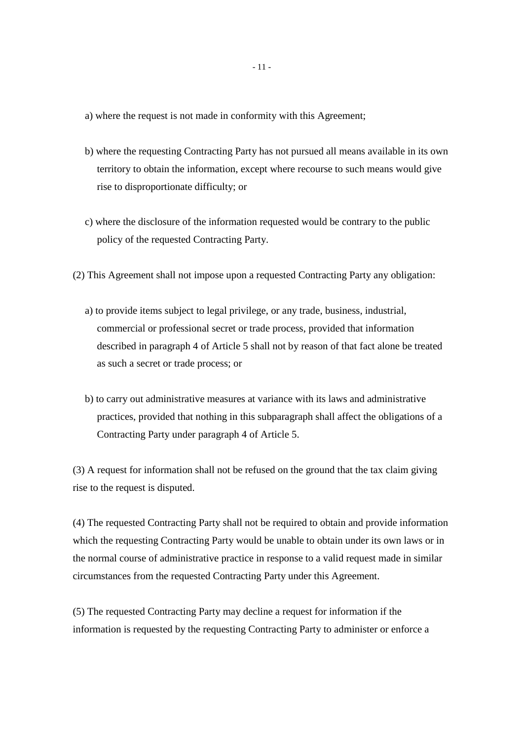- a) where the request is not made in conformity with this Agreement;
- b) where the requesting Contracting Party has not pursued all means available in its own territory to obtain the information, except where recourse to such means would give rise to disproportionate difficulty; or
- c) where the disclosure of the information requested would be contrary to the public policy of the requested Contracting Party.
- (2) This Agreement shall not impose upon a requested Contracting Party any obligation:
	- a) to provide items subject to legal privilege, or any trade, business, industrial, commercial or professional secret or trade process, provided that information described in paragraph 4 of Article 5 shall not by reason of that fact alone be treated as such a secret or trade process; or
	- b) to carry out administrative measures at variance with its laws and administrative practices, provided that nothing in this subparagraph shall affect the obligations of a Contracting Party under paragraph 4 of Article 5.

(3) A request for information shall not be refused on the ground that the tax claim giving rise to the request is disputed.

(4) The requested Contracting Party shall not be required to obtain and provide information which the requesting Contracting Party would be unable to obtain under its own laws or in the normal course of administrative practice in response to a valid request made in similar circumstances from the requested Contracting Party under this Agreement.

(5) The requested Contracting Party may decline a request for information if the information is requested by the requesting Contracting Party to administer or enforce a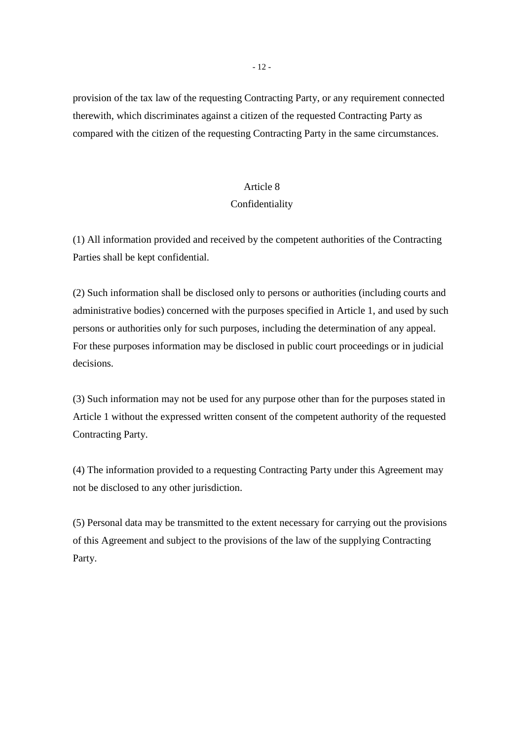provision of the tax law of the requesting Contracting Party, or any requirement connected therewith, which discriminates against a citizen of the requested Contracting Party as compared with the citizen of the requesting Contracting Party in the same circumstances.

#### Article 8

#### Confidentiality

(1) All information provided and received by the competent authorities of the Contracting Parties shall be kept confidential.

(2) Such information shall be disclosed only to persons or authorities (including courts and administrative bodies) concerned with the purposes specified in Article 1, and used by such persons or authorities only for such purposes, including the determination of any appeal. For these purposes information may be disclosed in public court proceedings or in judicial decisions.

(3) Such information may not be used for any purpose other than for the purposes stated in Article 1 without the expressed written consent of the competent authority of the requested Contracting Party.

(4) The information provided to a requesting Contracting Party under this Agreement may not be disclosed to any other jurisdiction.

(5) Personal data may be transmitted to the extent necessary for carrying out the provisions of this Agreement and subject to the provisions of the law of the supplying Contracting Party.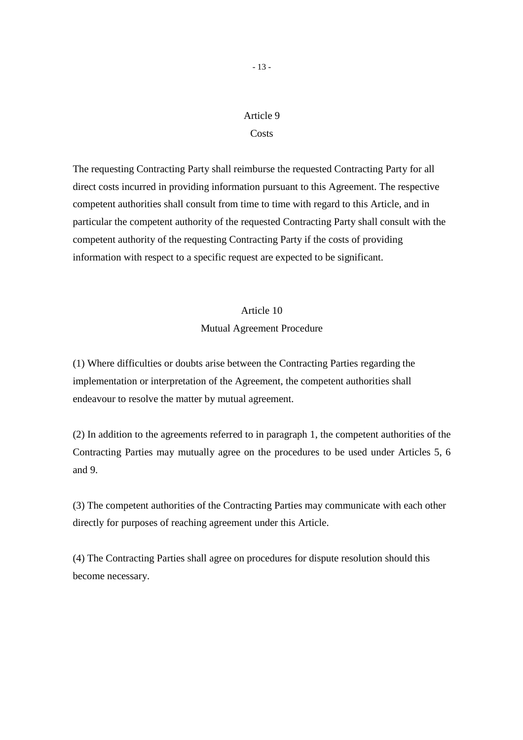#### **Costs**

The requesting Contracting Party shall reimburse the requested Contracting Party for all direct costs incurred in providing information pursuant to this Agreement. The respective competent authorities shall consult from time to time with regard to this Article, and in particular the competent authority of the requested Contracting Party shall consult with the competent authority of the requesting Contracting Party if the costs of providing information with respect to a specific request are expected to be significant.

# Article 10 Mutual Agreement Procedure

(1) Where difficulties or doubts arise between the Contracting Parties regarding the implementation or interpretation of the Agreement, the competent authorities shall endeavour to resolve the matter by mutual agreement.

(2) In addition to the agreements referred to in paragraph 1, the competent authorities of the Contracting Parties may mutually agree on the procedures to be used under Articles 5, 6 and 9.

(3) The competent authorities of the Contracting Parties may communicate with each other directly for purposes of reaching agreement under this Article.

(4) The Contracting Parties shall agree on procedures for dispute resolution should this become necessary.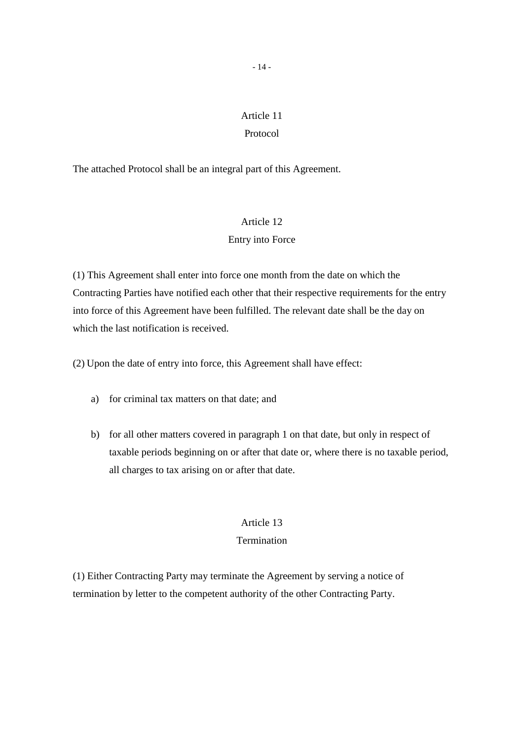# Protocol

The attached Protocol shall be an integral part of this Agreement.

# Article 12

# Entry into Force

(1) This Agreement shall enter into force one month from the date on which the Contracting Parties have notified each other that their respective requirements for the entry into force of this Agreement have been fulfilled. The relevant date shall be the day on which the last notification is received.

(2) Upon the date of entry into force, this Agreement shall have effect:

- a) for criminal tax matters on that date; and
- b) for all other matters covered in paragraph 1 on that date, but only in respect of taxable periods beginning on or after that date or, where there is no taxable period, all charges to tax arising on or after that date.

# Article 13

# **Termination**

(1) Either Contracting Party may terminate the Agreement by serving a notice of termination by letter to the competent authority of the other Contracting Party.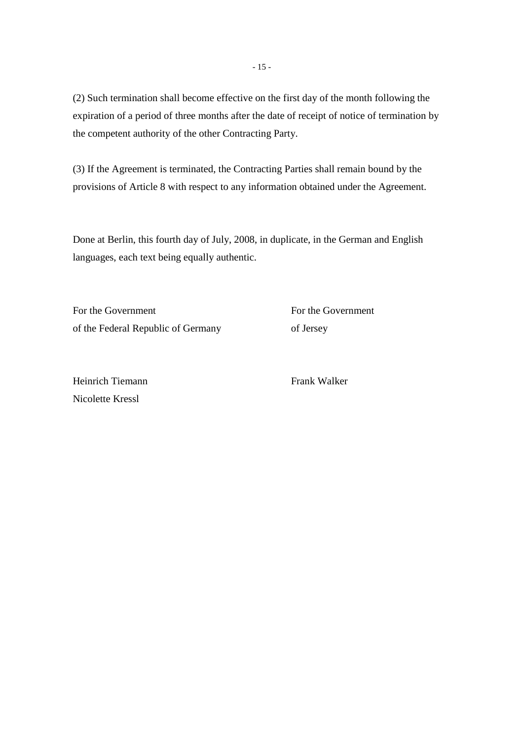(2) Such termination shall become effective on the first day of the month following the expiration of a period of three months after the date of receipt of notice of termination by the competent authority of the other Contracting Party.

(3) If the Agreement is terminated, the Contracting Parties shall remain bound by the provisions of Article 8 with respect to any information obtained under the Agreement.

Done at Berlin, this fourth day of July, 2008, in duplicate, in the German and English languages, each text being equally authentic.

For the Government For the Government of the Federal Republic of Germany of Jersey

Heinrich Tiemann Frank Walker Nicolette Kressl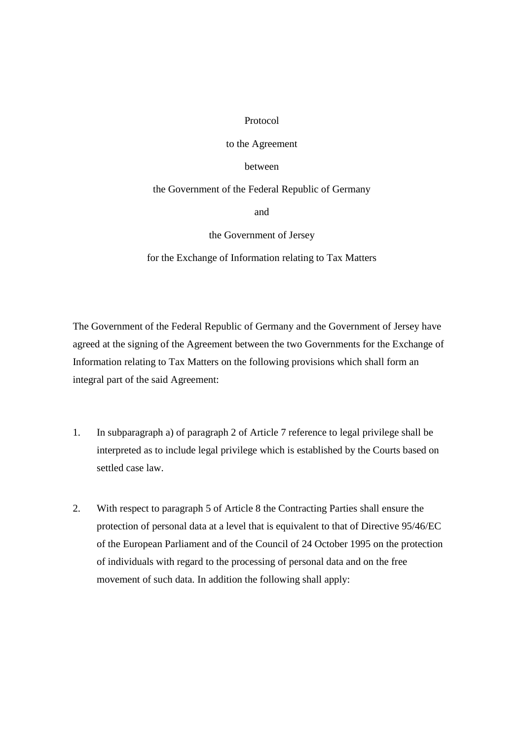## Protocol

## to the Agreement

### between

## the Government of the Federal Republic of Germany

and

# the Government of Jersey

## for the Exchange of Information relating to Tax Matters

The Government of the Federal Republic of Germany and the Government of Jersey have agreed at the signing of the Agreement between the two Governments for the Exchange of Information relating to Tax Matters on the following provisions which shall form an integral part of the said Agreement:

- 1. In subparagraph a) of paragraph 2 of Article 7 reference to legal privilege shall be interpreted as to include legal privilege which is established by the Courts based on settled case law.
- 2. With respect to paragraph 5 of Article 8 the Contracting Parties shall ensure the protection of personal data at a level that is equivalent to that of Directive 95/46/EC of the European Parliament and of the Council of 24 October 1995 on the protection of individuals with regard to the processing of personal data and on the free movement of such data. In addition the following shall apply: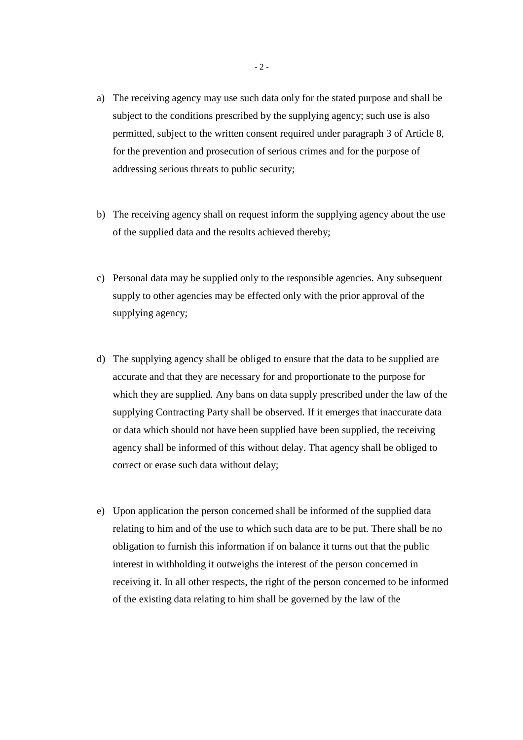- a) The receiving agency may use such data only for the stated purpose and shall be subject to the conditions prescribed by the supplying agency; such use is also permitted, subject to the written consent required under paragraph 3 of Article 8, for the prevention and prosecution of serious crimes and for the purpose of addressing serious threats to public security;
- b) The receiving agency shall on request inform the supplying agency about the use of the supplied data and the results achieved thereby;
- c) Personal data may be supplied only to the responsible agencies. Any subsequent supply to other agencies may be effected only with the prior approval of the supplying agency;
- d) The supplying agency shall be obliged to ensure that the data to be supplied are accurate and that they are necessary for and proportionate to the purpose for which they are supplied. Any bans on data supply prescribed under the law of the supplying Contracting Party shall be observed. If it emerges that inaccurate data or data which should not have been supplied have been supplied, the receiving agency shall be informed of this without delay. That agency shall be obliged to correct or erase such data without delay;
- e) Upon application the person concerned shall be informed of the supplied data relating to him and of the use to which such data are to be put. There shall be no obligation to furnish this information if on balance it turns out that the public interest in withholding it outweighs the interest of the person concerned in receiving it. In all other respects, the right of the person concerned to be informed of the existing data relating to him shall be governed by the law of the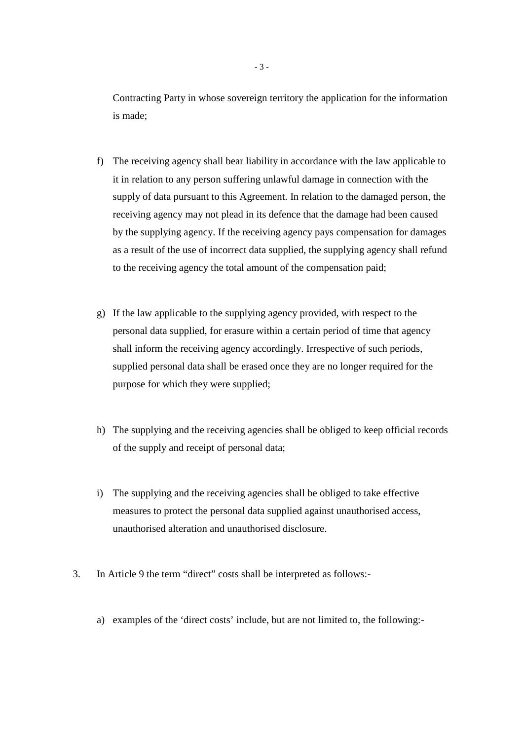Contracting Party in whose sovereign territory the application for the information is made;

- f) The receiving agency shall bear liability in accordance with the law applicable to it in relation to any person suffering unlawful damage in connection with the supply of data pursuant to this Agreement. In relation to the damaged person, the receiving agency may not plead in its defence that the damage had been caused by the supplying agency. If the receiving agency pays compensation for damages as a result of the use of incorrect data supplied, the supplying agency shall refund to the receiving agency the total amount of the compensation paid;
- g) If the law applicable to the supplying agency provided, with respect to the personal data supplied, for erasure within a certain period of time that agency shall inform the receiving agency accordingly. Irrespective of such periods, supplied personal data shall be erased once they are no longer required for the purpose for which they were supplied;
- h) The supplying and the receiving agencies shall be obliged to keep official records of the supply and receipt of personal data;
- i) The supplying and the receiving agencies shall be obliged to take effective measures to protect the personal data supplied against unauthorised access, unauthorised alteration and unauthorised disclosure.
- 3. In Article 9 the term "direct" costs shall be interpreted as follows:
	- a) examples of the 'direct costs' include, but are not limited to, the following:-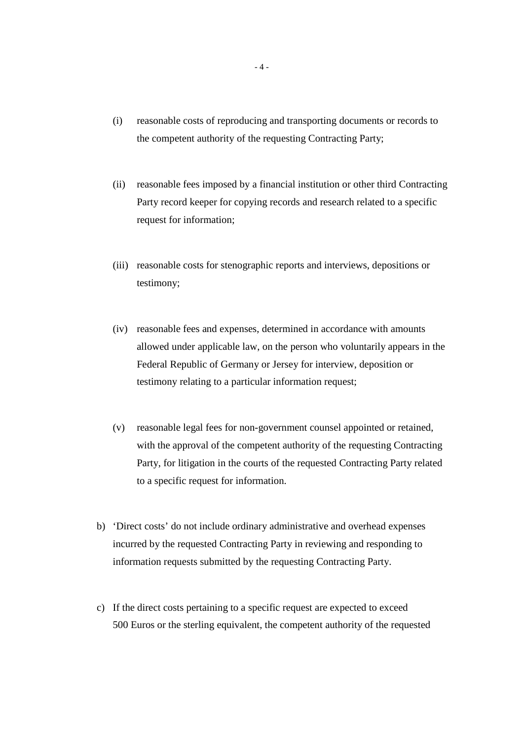- (i) reasonable costs of reproducing and transporting documents or records to the competent authority of the requesting Contracting Party;
- (ii) reasonable fees imposed by a financial institution or other third Contracting Party record keeper for copying records and research related to a specific request for information;
- (iii) reasonable costs for stenographic reports and interviews, depositions or testimony;
- (iv) reasonable fees and expenses, determined in accordance with amounts allowed under applicable law, on the person who voluntarily appears in the Federal Republic of Germany or Jersey for interview, deposition or testimony relating to a particular information request;
- (v) reasonable legal fees for non-government counsel appointed or retained, with the approval of the competent authority of the requesting Contracting Party, for litigation in the courts of the requested Contracting Party related to a specific request for information.
- b) 'Direct costs' do not include ordinary administrative and overhead expenses incurred by the requested Contracting Party in reviewing and responding to information requests submitted by the requesting Contracting Party.
- c) If the direct costs pertaining to a specific request are expected to exceed 500 Euros or the sterling equivalent, the competent authority of the requested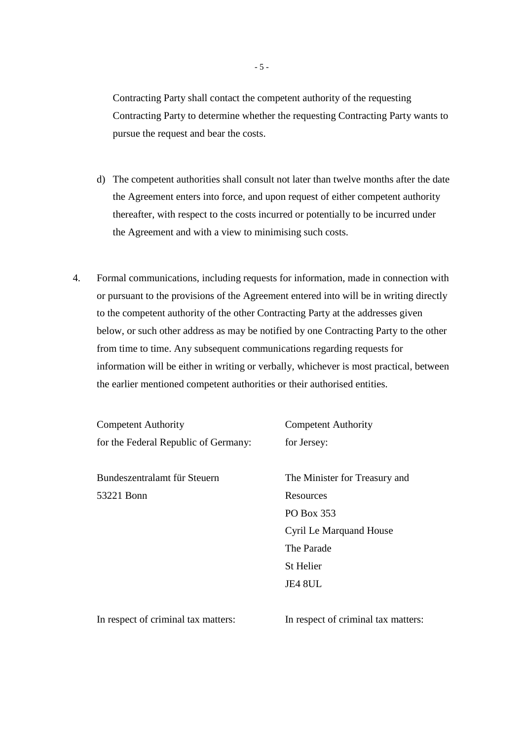Contracting Party shall contact the competent authority of the requesting Contracting Party to determine whether the requesting Contracting Party wants to pursue the request and bear the costs.

- d) The competent authorities shall consult not later than twelve months after the date the Agreement enters into force, and upon request of either competent authority thereafter, with respect to the costs incurred or potentially to be incurred under the Agreement and with a view to minimising such costs.
- 4. Formal communications, including requests for information, made in connection with or pursuant to the provisions of the Agreement entered into will be in writing directly to the competent authority of the other Contracting Party at the addresses given below, or such other address as may be notified by one Contracting Party to the other from time to time. Any subsequent communications regarding requests for information will be either in writing or verbally, whichever is most practical, between the earlier mentioned competent authorities or their authorised entities.

 Competent Authority Competent Authority for the Federal Republic of Germany: for Jersey:

Bundeszentralamt für Steuern The Minister for Treasury and 53221 Bonn Resources

 PO Box 353 Cyril Le Marquand House The Parade St Helier JE4 8UL

In respect of criminal tax matters: In respect of criminal tax matters: